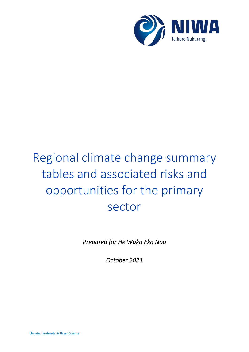

# Regional climate change summary tables and associated risks and opportunities for the primary sector

*Prepared for He Waka Eka Noa* 

*October 2021*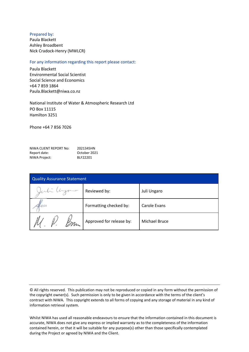#### Prepared by:

Paula Blackett Ashley Broadbent Nick Cradock-Henry (MWLCR)

#### For any information regarding this report please contact:

Paula Blackett Environmental Social Scientist Social Science and Economics +64 7 859 1864 Paula.Blackett@niwa.co.nz

National Institute of Water & Atmospheric Research Ltd PO Box 11115 Hamilton 3251

Phone +64 7 856 7026

| NIWA CLIENT REPORT No: | 2021345HN    |
|------------------------|--------------|
| Report date:           | October 2021 |
| NIWA Project:          | BLF22201     |

| <b>Quality Assurance Statement</b> |                          |               |  |
|------------------------------------|--------------------------|---------------|--|
| Juli Uyono                         | Reviewed by:             | Juli Ungaro   |  |
| Kuan                               | Formatting checked by:   | Carole Evans  |  |
| m                                  | Approved for release by: | Michael Bruce |  |

© All rights reserved. This publication may not be reproduced or copied in any form without the permission of the copyright owner(s). Such permission is only to be given in accordance with the terms of the client's contract with NIWA. This copyright extends to all forms of copying and any storage of material in any kind of information retrieval system.

Whilst NIWA has used all reasonable endeavours to ensure that the information contained in this document is accurate, NIWA does not give any express or implied warranty as to the completeness of the information contained herein, or that it will be suitable for any purpose(s) other than those specifically contemplated during the Project or agreed by NIWA and the Client.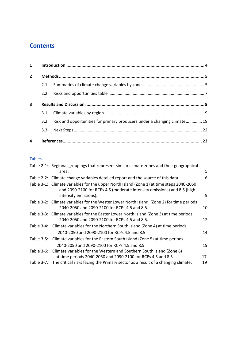# **Contents**

| $\mathbf{1}$   |                  |                                                                          |  |
|----------------|------------------|--------------------------------------------------------------------------|--|
| $\overline{2}$ |                  |                                                                          |  |
|                | 2.1              |                                                                          |  |
|                | $2.2^{\circ}$    |                                                                          |  |
| 3              |                  |                                                                          |  |
|                | 3.1              |                                                                          |  |
|                | 3.2              | Risk and opportunities for primary producers under a changing climate 19 |  |
|                | 3.3 <sub>1</sub> |                                                                          |  |
| 4              |                  |                                                                          |  |

#### Tables

|            | Table 2-1: Regional groupings that represent similar climate zones and their geographical                                                                           |    |
|------------|---------------------------------------------------------------------------------------------------------------------------------------------------------------------|----|
|            | area.                                                                                                                                                               | 5  |
|            | Table 2-2: Climate change variables detailed report and the source of this data.                                                                                    | 6  |
|            | Table 3-1: Climate variables for the upper North Island (Zone 1) at time steps 2040-2050<br>and 2090-2100 for RCPs 4.5 (moderate intensity emissions) and 8.5 (high | 9  |
|            | intensity emissions).                                                                                                                                               |    |
|            | Table 3-2: Climate variables for the Wester Lower North Island (Zone 2) for time periods<br>2040-2050 and 2090-2100 for RCPs 4.5 and 8.5.                           | 10 |
|            | Table 3-3: Climate variables for the Easter Lower North Island (Zone 3) at time periods                                                                             |    |
|            | 2040-2050 and 2090-2100 for RCPs 4.5 and 8.5.                                                                                                                       | 12 |
|            | Table 3-4: Climate variables for the Northern South Island (Zone 4) at time periods                                                                                 |    |
|            | 2040-2050 and 2090-2100 for RCPs 4.5 and 8.5                                                                                                                        | 14 |
|            | Table 3-5: Climate variables for the Eastern South Island (Zone 5) at time periods                                                                                  |    |
|            | 2040-2050 and 2090-2100 for RCPs 4.5 and 8.5                                                                                                                        | 15 |
| Table 3-6: | Climate variables for the Western and Southern South Island (Zone 6)                                                                                                |    |
|            | at time periods 2040-2050 and 2090-2100 for RCPs 4.5 and 8.5                                                                                                        | 17 |
|            | Table 3-7: The critical risks facing the Primary sector as a result of a changing climate.                                                                          | 19 |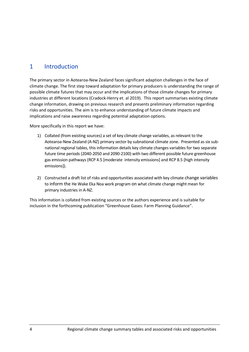## <span id="page-3-0"></span>1 Introduction

The primary sector in Aotearoa-New Zealand faces significant adaption challenges in the face of climate change. The first step toward adaptation for primary producers is understanding the range of possible climate futures that may occur and the implications of those climate changes for primary industries at different locations (Cradock-Henry et. al 2019). This report summarises existing climate change information, drawing on previous research and presents preliminary information regarding risks and opportunities. The aim is to enhance understanding of future climate impacts and implications and raise awareness regarding potential adaptation options.

More specifically in this report we have:

- 1) Collated (from existing sources) a set of key climate change variables, as relevant to the Aotearoa-New Zealand (A-NZ) primary sector by subnational climate zone. Presented as six subnational regional tables, this information details key climate changes variables for two separate future time periods (2040-2050 and 2090-2100) with two different possible future greenhouse gas emission pathways (RCP 4.5 [moderate intensity emissions] and RCP 8.5 [high intensity emissions]).
- 2) Constructed a draft list of risks and opportunities associated with key climate change variables to inform the He Wake Eka Noa work program on what climate change might mean for primary industries in A-NZ.

This information is collated from existing sources or the authors experience and is suitable for inclusion in the forthcoming publication "Greenhouse Gases: Farm Planning Guidance".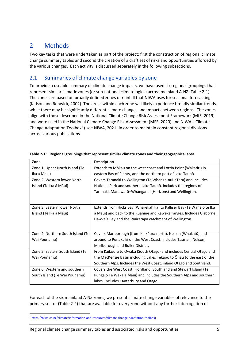# <span id="page-4-0"></span>2 Methods

Two key tasks that were undertaken as part of the project: first the construction of regional climate change summary tables and second the creation of a draft set of risks and opportunities afforded by the various changes. Each activity is discussed separately in the following subsections.

## <span id="page-4-1"></span>2.1 Summaries of climate change variables by zone

To provide a useable summary of climate change impacts, we have used six regional groupings that represent similar climatic zones (or sub-national climatologies) across mainland A-NZ (Table 2-1). The zones are based on broadly defined zones of rainfall that NIWA uses for seasonal forecasting (Kidson and Renwick, 2002). The areas within each zone will likely experience broadly similar trends, while there may be significantly different climate changes and impacts between regions. The zones align with those described in the National Climate Change Risk Assessment Framework (MfE, 2019) and were used in the National Climate Change Risk Assessment (MFE, 2020) and NIWA's Climate Change Adaptation Toolbox<sup>1</sup> (see NIWA, 2021) in order to maintain constant regional divisions across various publications.

| Zone                              | <b>Description</b>                                                     |  |
|-----------------------------------|------------------------------------------------------------------------|--|
| Zone 1: Upper North Island (Te    | Extends to Mōkau on the west coast and Lottin Point (Wakatiri) in      |  |
| Ika a Maui)                       | eastern Bay of Plenty, and the northern part of Lake Taupō.            |  |
| Zone 2: Western lower North       | Covers Taranaki to Wellington (Te Whanga-nui-aTara) and includes       |  |
| Island (Te Ika ā Māui)            | National Park and southern Lake Taupō. Includes the regions of         |  |
|                                   | Taranaki, Manawatū-Whanganui (Horizons) and Wellington.                |  |
|                                   |                                                                        |  |
|                                   |                                                                        |  |
| Zone 3: Eastern lower North       | Extends from Hicks Bay (Wharekahika) to Palliser Bay (Te Waha o te Ika |  |
| Island (Te Ika ā Māui)            | ā Māui) and back to the Ruahine and Kaweka ranges. Includes Gisborne,  |  |
|                                   | Hawke's Bay and the Wairarapa catchment of Wellington.                 |  |
|                                   |                                                                        |  |
| Zone 4: Northern South Island (Te | Covers Marlborough (from Kaikōura north), Nelson (Whakatū) and         |  |
| Wai Pounamu)                      | around to Punakaiki on the West Coast. Includes Tasman, Nelson,        |  |
|                                   | Marlborough and Buller District.                                       |  |
| Zone 5: Eastern South Island (Te  | From Kaikōura to Owaka (South Otago) and includes Central Otago and    |  |
| Wai Pounamu)                      | the MacKenzie Basin including Lakes Tekapo to Ohau to the east of the  |  |
|                                   | Southern Alps. Includes the West Coast, inland Otago and Southland.    |  |
| Zone 6: Western and southern      | Covers the West Coast, Fiordland, Southland and Stewart Island (Te     |  |
| South Island (Te Wai Pounamu)     | Punga o Te Waka ā Māui) and includes the Southern Alps and southern    |  |
|                                   | lakes. Includes Canterbury and Otago.                                  |  |

<span id="page-4-2"></span>

For each of the six mainland A-NZ zones, we present climate change variables of relevance to the primary sector (Table 2-2) that are available for every zone without any further interrogation of

<sup>1</sup> [https://niwa.co.nz/climate/information-and-resources/climate-change-adaptation-toolbox\)](https://niwa.co.nz/climate/information-and-resources/climate-change-adaptation-toolbox)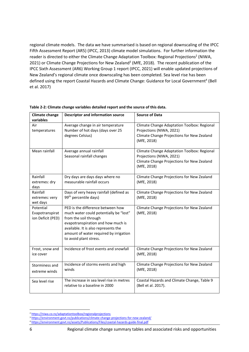regional climate models. The data we have summarised is based on regional downscaling of the IPCC Fifth Assessment Report (AR5) (IPCC, 2013) climate model simulations. For further information the reader is directed to either the Climate Change Adaptation Toolbox: Regional Projections<sup>2</sup> (NIWA, 2021) or Climate Change Projections for New Zealand<sup>3</sup> (MfE, 2018). The recent publication of the IPCC Sixth Assessment (AR6) Working Group 1 report (IPCC, 2021) will enable updated projections of New Zealand's regional climate once downscaling has been completed. Sea level rise has been defined using the report Coastal Hazards and Climate Change: Guidance for Local Government<sup>4</sup> (Bell et al. 2017)

| <b>Climate change</b><br>variables                | <b>Descriptor and information source</b>                                                                                                                                                                                                               | <b>Source of Data</b>                                                                                                                |
|---------------------------------------------------|--------------------------------------------------------------------------------------------------------------------------------------------------------------------------------------------------------------------------------------------------------|--------------------------------------------------------------------------------------------------------------------------------------|
| Air<br>temperatures                               | Average change in air temperature<br>Number of hot days (days over 25<br>degrees Celsius)                                                                                                                                                              | Climate Change Adaptation Toolbox: Regional<br>Projections (NIWA, 2021)<br>Climate Change Projections for New Zealand<br>(MfE, 2018) |
| Mean rainfall                                     | Average annual rainfall<br>Seasonal rainfall changes                                                                                                                                                                                                   | Climate Change Adaptation Toolbox: Regional<br>Projections (NIWA, 2021)<br>Climate Change Projections for New Zealand<br>(MfE, 2018) |
| Rainfall<br>extremes: dry<br>days                 | Dry days are days days where no<br>measurable rainfall occurs                                                                                                                                                                                          | Climate Change Projections for New Zealand<br>(MfE, 2018)                                                                            |
| Rainfall<br>extremes: very<br>wet days            | Days of very heavy rainfall (defined as<br>99 <sup>th</sup> percentile days)                                                                                                                                                                           | Climate Change Projections for New Zealand<br>(MfE, 2018)                                                                            |
| Potential<br>Evapotranspirat<br>ion Deficit (PED) | PED is the difference between how<br>much water could potentially be "lost"<br>from the soil through<br>evapotranspiration and how much is<br>available. It is also represents the<br>amount of water required by irrigation<br>to avoid plant stress. | Climate Change Projections for New Zealand<br>(MfE, 2018)                                                                            |
| Frost, snow and<br>ice cover                      | Incidence of frost events and snowfall                                                                                                                                                                                                                 | Climate Change Projections for New Zealand<br>(MfE, 2018)                                                                            |
| Storminess and<br>extreme winds                   | Incidence of storms events and high<br>winds                                                                                                                                                                                                           | Climate Change Projections for New Zealand<br>(MfE, 2018)                                                                            |
| Sea level rise                                    | The increase in sea level rise in metres<br>relative to a baseline in 2000                                                                                                                                                                             | Coastal Hazards and Climate Change, Table 9<br>(Bell et al. 2017).                                                                   |

<span id="page-5-0"></span>

| Table 2-2: Climate change variables detailed report and the source of this data. |  |
|----------------------------------------------------------------------------------|--|
|----------------------------------------------------------------------------------|--|

<sup>2</sup> <https://niwa.co.nz/adaptationtoolbox/regionalprojections>

<sup>&</sup>lt;sup>3</sup> https://environment.govt.nz/publications/climate-change-projections-for-new-zealand/

<sup>4</sup> <https://environment.govt.nz/assets/Publications/Files/coastal-hazards-guide-final.pdf>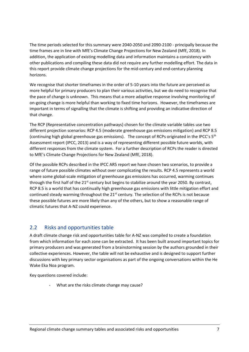The time periods selected for this summary were 2040-2050 and 2090-2100 - principally because the time frames are in line with MfE's Climate Change Projections for New Zealand (MfE, 2018). In addition, the application of existing modelling data and information maintains a consistency with other publications and compiling these data did not require any further modelling effort. The data in this report provide climate change projections for the mid-century and end-century planning horizons.

We recognise that shorter timeframes in the order of 5-10 years into the future are perceived as more helpful for primary producers to plan their various activities, but we do need to recognise that the pace of change is unknown. This means that a more adaptive response involving monitoring of on-going change is more helpful than working to fixed time horizons. However, the timeframes are important in terms of signalling that the climate is shifting and providing an indicative direction of that change.

The RCP (Representative concentration pathways) chosen for the climate variable tables use two different projection scenarios: RCP 4.5 (moderate greenhouse gas emissions mitigation) and RCP 8.5 (continuing high global greenhouse gas emissions). The concept of RCPs originated in the IPCC's 5<sup>th</sup> Assessment report (IPCC, 2013) and is a way of representing different possible future worlds, with different responses from the climate system. For a further description of RCPs the reader is directed to MfE's Climate Change Projections for New Zealand (MfE, 2018).

Of the possible RCPs described in the IPCC AR5 report we have chosen two scenarios, to provide a range of future possible climates without over complicating the results. RCP 4.5 represents a world where some global-scale mitigation of greenhouse gas emissions has occurred, warming continues through the first half of the  $21<sup>st</sup>$  century but begins to stabilize around the year 2050. By contrast, RCP 8.5 is a world that has continually high greenhouse gas emissions with little mitigation effort and continued steady warming throughout the  $21<sup>st</sup>$  century. The selection of the RCPs is not because these possible futures are more likely than any of the others, but to show a reasonable range of climatic futures that A-NZ could experience.

### <span id="page-6-0"></span>2.2 Risks and opportunities table

A draft climate change risk and opportunities table for A-NZ was compiled to create a foundation from which information for each zone can be extracted. It has been built around important topics for primary producers and was generated from a brainstorming session by the authors grounded in their collective experiences. However, the table will not be exhaustive and is designed to support further discussions with key primary sector organisations as part of the ongoing conversations within the He Wake Eka Noa program.

Key questions covered include:

What are the risks climate change may cause?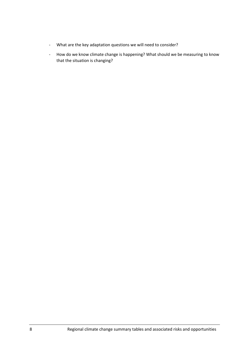- What are the key adaptation questions we will need to consider?
- How do we know climate change is happening? What should we be measuring to know that the situation is changing?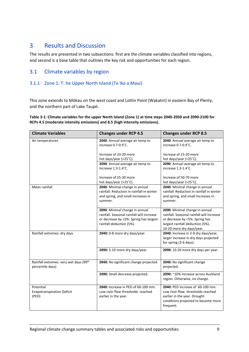## <span id="page-8-0"></span>3 Results and Discussion

The results are presented in two subsections: first are the climate variables classified into regions, and second is a base table that outlines the key risk and opportunities for each region.

#### <span id="page-8-1"></span>3.1 Climate variables by region

#### 3.1.1 Zone 1: T: he Upper North Island (Te Ika a Maui)

This zone extends to Mōkau on the west coast and Lottin Point (Wakatiri) in eastern Bay of Plenty, and the northern part of Lake Taupō.

<span id="page-8-2"></span>**Table 3-1: Climate variables for the upper North Island (Zone 1) at time steps 2040-2050 and 2090-2100 for RCPs 4.5 (moderate intensity emissions) and 8.5 (high intensity emissions).**

| <b>Climate Variables</b>                                   | <b>Changes under RCP 4.5</b>                                                                                                                      | <b>Changes under RCP 8.5</b>                                                                                                                                                   |
|------------------------------------------------------------|---------------------------------------------------------------------------------------------------------------------------------------------------|--------------------------------------------------------------------------------------------------------------------------------------------------------------------------------|
| Air temperatures                                           | 2040: Annual average air temp to<br>increase 0.7-0.9°C.                                                                                           | 2040: Annual average air temp to<br>increase 0.7-0.9°C.                                                                                                                        |
|                                                            | Increase of 10-20 more<br>hot days/year (>25°C).                                                                                                  | Increase of 15-20 more<br>hot days/year (>25°C).                                                                                                                               |
|                                                            | 2090: Annual average air temp to<br>increase 1.3-1.4°C.                                                                                           | 2090: Annual average air temp to<br>increase 1.3-1.4°C.                                                                                                                        |
|                                                            | Increase of 25-30 more<br>hot days/year (>25°C).                                                                                                  | Increase of 50-70 more<br>hot days/year (>25°C).                                                                                                                               |
| Mean rainfall                                              | 2040: Minimal change in annual<br>rainfall. Reduction in rainfall in winter<br>and spring, and small increases in<br>summer.                      | 2040: Minimal change in annual<br>rainfall. Reduction in rainfall in winter<br>and spring, and small increases in<br>summer.                                                   |
|                                                            | 2090: Minimal change in annual<br>rainfall. Seasonal rainfall will increase<br>or decrease by <5%. Spring has largest<br>rainfall deduction (5%). | 2090: Minimal change in annual<br>rainfall. Seasonal rainfall will increase<br>or decrease by <5%. Spring has<br>largest rainfall deduction (5%).<br>10-20 more dry days/year. |
| Rainfall extremes: dry days                                | 2040: 0-8 more dry days/year.                                                                                                                     | 2040: Increase in 3-9 dry days/year,<br>larger increase in dry days projected<br>for spring (3-6 days).                                                                        |
|                                                            | 2090: 5-10 more dry days/year.                                                                                                                    | 2090: 10-20 more dry days per year.                                                                                                                                            |
| Rainfall extremes: very wet days (99th<br>percentile days) | 2040: No significant change projected.                                                                                                            | 2040: No significant change<br>projected.                                                                                                                                      |
|                                                            | 2090: Small decrease projected.                                                                                                                   | 2090: ~10% increase across Auckland<br>region. Otherwise, no change.                                                                                                           |
| Potential<br><b>Evapotranspiration Deficit</b><br>(PED)    | 2040: Increase in PED of 60-100 mm.<br>Low river flow thresholds reached<br>earlier in the year.                                                  | 2040: PED increase of 60-100 mm.<br>Low river flow thresholds reached<br>earlier in the year. Drought<br>conditions projected to become more<br>frequent.                      |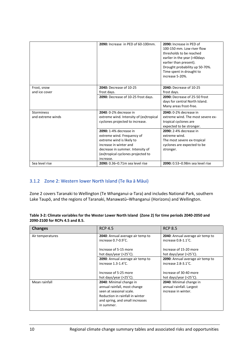|                                        | 2090: Increase in PED of 60-100mm.                                                                                                                                                                 | 2090: Increase in PED of<br>100-150 mm. Low river flow<br>thresholds to be reached<br>earlier in the year (>40days<br>earlier than present).<br>Drought probability up 50-70%.<br>Time spent in drought to |
|----------------------------------------|----------------------------------------------------------------------------------------------------------------------------------------------------------------------------------------------------|------------------------------------------------------------------------------------------------------------------------------------------------------------------------------------------------------------|
|                                        |                                                                                                                                                                                                    | increase 5-20%.                                                                                                                                                                                            |
| Frost, snow<br>and ice cover           | 2040: Decrease of 10-25<br>frost days.                                                                                                                                                             | 2040: Decrease of 10-25<br>frost days.                                                                                                                                                                     |
|                                        | 2090: Decrease of 10-25 frost days.                                                                                                                                                                | 2090: Decrease of 25-50 frost<br>days for central North Island.<br>Many areas frost-free.                                                                                                                  |
| <b>Storminess</b><br>and extreme winds | 2040: 0-2% decrease in<br>extreme wind. Intensity of (ex)tropical<br>cyclones projected to increase.                                                                                               | 2040: 0-2% decrease in<br>extreme wind. The most severe ex-<br>tropical cyclones are<br>expected to be stronger.                                                                                           |
|                                        | 2090: 1-4% decrease in<br>extreme wind. Frequency of<br>extreme wind is likely to<br>increase in winter and<br>decrease in summer. Intensity of<br>(ex)tropical cyclones projected to<br>increase. | 2090: 2-4% decrease in<br>extreme wind.<br>The most severe ex-tropical<br>cyclones are expected to be<br>stronger.                                                                                         |
| Sea level rise                         | 2090: 0.36-0.71m sea level rise                                                                                                                                                                    | 2090: 0.53-0.98m sea level rise                                                                                                                                                                            |

#### 3.1.2 Zone 2: Western lower North Island (Te Ika ā Māui)

Zone 2 covers Taranaki to Wellington (Te Whanganui-a-Tara) and includes National Park, southern Lake Taupō, and the regions of Taranaki, Manawatū–Whanganui (Horizons) and Wellington.

<span id="page-9-0"></span>

| Table 3-2: Climate variables for the Wester Lower North Island (Zone 2) for time periods 2040-2050 and |  |
|--------------------------------------------------------------------------------------------------------|--|
| 2090-2100 for RCPs 4.5 and 8.5.                                                                        |  |

| <b>Changes</b>   | <b>RCP 4.5</b>                                                                                                                                                         | <b>RCP 8.5</b>                                                             |
|------------------|------------------------------------------------------------------------------------------------------------------------------------------------------------------------|----------------------------------------------------------------------------|
| Air temperatures | 2040: Annual average air temp to<br>increase 0.7-0.9°C.                                                                                                                | 2040: Annual average air temp to<br>increase $0.8 - 1.1$ °C.               |
|                  | Increase of 5-15 more<br>hot days/year (>25°C).                                                                                                                        | Increase of 15-20 more<br>hot days/year $(>25^{\circ}C)$ .                 |
|                  | 2090: Annual average air temp to<br>increase $1.3 - 1.4$ °C.                                                                                                           | 2090: Annual average air temp to<br>increase $2.8 - 3.1$ °C.               |
|                  | Increase of 5-25 more<br>hot days/year (>25°C).                                                                                                                        | Increase of 30-40 more<br>hot days/year (>25°C).                           |
| Mean rainfall    | 2040: Minimal change in<br>annual rainfall, most change<br>seen at seasonal scale.<br>Reduction in rainfall in winter<br>and spring, and small increases<br>in summer. | 2040: Minimal change in<br>annual rainfall. Largest<br>increase in winter. |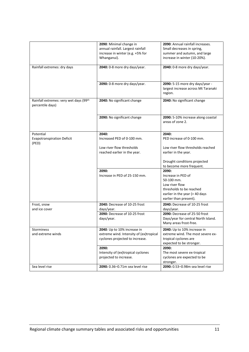|                                                            | 2090: Minimal change in<br>annual rainfall. Largest rainfall<br>increase in winter (e.g. +5% for<br>Whanganui). | 2090: Annual rainfall increases.<br>Small decreases in spring,<br>summer and autumn, and large<br>increase in winter (10-20%).                      |
|------------------------------------------------------------|-----------------------------------------------------------------------------------------------------------------|-----------------------------------------------------------------------------------------------------------------------------------------------------|
| Rainfall extremes: dry days                                | 2040: 0-8 more dry days/year.                                                                                   | 2040: 0-8 more dry days/year.                                                                                                                       |
|                                                            | 2090: 0-8 more dry days/year.                                                                                   | 2090: 5-15 more dry days/year -<br>largest increase across Mt Taranaki<br>region.                                                                   |
| Rainfall extremes: very wet days (99th<br>percentile days) | 2040: No significant change                                                                                     | 2040: No significant change                                                                                                                         |
|                                                            | 2090: No significant change                                                                                     | 2090: 5-10% increase along coastal<br>areas of zone 2.                                                                                              |
| Potential                                                  | 2040:                                                                                                           | 2040:                                                                                                                                               |
| <b>Evapotranspiration Deficit</b><br>(PED)                 | Increased PED of 0-100 mm.                                                                                      | PED increase of 0-100 mm.                                                                                                                           |
|                                                            | Low river flow thresholds<br>reached earlier in the year.                                                       | Low river flow thresholds reached<br>earlier in the year.                                                                                           |
|                                                            |                                                                                                                 | Drought conditions projected<br>to become more frequent.                                                                                            |
|                                                            | 2090:<br>Increase in PED of 25-150 mm.                                                                          | 2090:<br>Increase in PED of<br>50-100 mm.<br>Low river flow<br>thresholds to be reached<br>earlier in the year (> 40 days<br>earlier than present). |
| Frost, snow<br>and ice cover                               | 2040: Decrease of 10-25 frost<br>days/year.                                                                     | 2040: Decrease of 10-25 frost<br>days/year.                                                                                                         |
|                                                            | 2090: Decrease of 10-25 frost<br>days/year.                                                                     | 2090: Decrease of 25-50 frost<br>Days/year for central North Island.<br>Many areas frost-free.                                                      |
| Storminess<br>and extreme winds                            | 2040: Up to 10% increase in<br>extreme wind. Intensity of (ex)tropical<br>cyclones projected to increase.       | 2040: Up to 10% increase in<br>extreme wind. The most severe ex-<br>tropical cyclones are<br>expected to be stronger.                               |
|                                                            | 2090:<br>Intensity of (ex)tropical cyclones<br>projected to increase.                                           | 2090:<br>The most severe ex-tropical<br>cyclones are expected to be<br>stronger.                                                                    |
| Sea level rise                                             | 2090: 0.36-0.71m sea level rise                                                                                 | 2090: 0.53-0.98m sea level rise                                                                                                                     |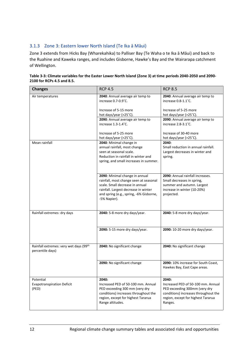#### 3.1.3 Zone 3: Eastern lower North Island (Te Ika ā Māui)

Zone 3 extends from Hicks Bay (Wharekahika) to Palliser Bay (Te Waha o te Ika ā Māui) and back to the Ruahine and Kaweka ranges, and includes Gisborne, Hawke's Bay and the Wairarapa catchment of Wellington.

<span id="page-11-0"></span>

| Table 3-3: Climate variables for the Easter Lower North Island (Zone 3) at time periods 2040-2050 and 2090- |
|-------------------------------------------------------------------------------------------------------------|
| 2100 for RCPs 4.5 and 8.5.                                                                                  |

| <b>Changes</b>                                             | <b>RCP 4.5</b>                                                                                                                                                                                                 | <b>RCP 8.5</b>                                                                                                                                                        |
|------------------------------------------------------------|----------------------------------------------------------------------------------------------------------------------------------------------------------------------------------------------------------------|-----------------------------------------------------------------------------------------------------------------------------------------------------------------------|
| Air temperatures                                           | 2040: Annual average air temp to<br>increase 0.7-0.9°C.                                                                                                                                                        | 2040: Annual average air temp to<br>increase 0.8-1.1°C.                                                                                                               |
|                                                            | Increase of 5-15 more<br>hot days/year (>25°C).                                                                                                                                                                | Increase of 5-25 more<br>hot days/year (>25°C).                                                                                                                       |
|                                                            | 2090: Annual average air temp to<br>increase 1.3-1.4°C.                                                                                                                                                        | 2090: Annual average air temp to<br>increase 2.8-3.1°C.                                                                                                               |
|                                                            | Increase of 5-25 more<br>hot days/year (>25°C).                                                                                                                                                                | Increase of 30-40 more<br>hot days/year (>25°C).                                                                                                                      |
| Mean rainfall                                              | 2040: Minimal change in<br>annual rainfall, most change<br>seen at seasonal scale.<br>Reduction in rainfall in winter and<br>spring, and small increases in summer.                                            | 2040:<br>Small reduction in annual rainfall.<br>Largest decreases in winter and<br>spring.                                                                            |
|                                                            | 2090: Minimal change in annual<br>rainfall, most change seen at seasonal<br>scale. Small decrease in annual<br>rainfall. Largest decrease in winter<br>and spring (e.g., spring, -6% Gisborne,<br>-5% Napier). | 2090: Annual rainfall increases.<br>Small decreases in spring,<br>summer and autumn. Largest<br>increase in winter (10-20%)<br>projected.                             |
| Rainfall extremes: dry days                                | 2040: 5-8 more dry days/year.                                                                                                                                                                                  | 2040: 5-8 more dry days/year.                                                                                                                                         |
|                                                            | 2090: 5-15 more dry days/year.                                                                                                                                                                                 | 2090: 10-20 more dry days/year.                                                                                                                                       |
| Rainfall extremes: very wet days (99th<br>percentile days) | 2040: No significant change                                                                                                                                                                                    | 2040: No significant change                                                                                                                                           |
|                                                            | 2090: No significant change                                                                                                                                                                                    | 2090: 10% increase for South Coast,<br>Hawkes Bay, East Cape areas.                                                                                                   |
| Potential<br><b>Evapotranspiration Deficit</b><br>(PED)    | 2040:<br>Increased PED of 50-100 mm. Annual<br>PED exceeding 300 mm (very dry<br>conditions) increases throughout the<br>region, except for highest Tararua<br>Range altitudes.                                | 2040:<br>Increased PED of 50-100 mm. Annual<br>PED exceeding 300mm (very dry<br>conditions) increases throughout the<br>region, except for highest Tararua<br>Ranges. |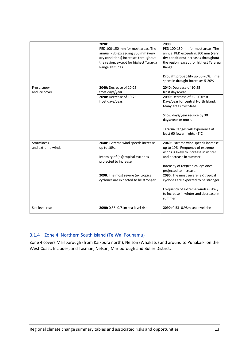|                                        | 2090:<br>PED 100-150 mm for most areas. The<br>annual PED exceeding 300 mm (very<br>dry conditions) increases throughout<br>the region, except for highest Tararua<br>Range altitudes. | 2090:<br>PED 100-150mm for most areas. The<br>annual PED exceeding 300 mm (very<br>dry conditions) increases throughout<br>the region, except for highest Tararua<br>Range.<br>Drought probability up 50-70%. Time<br>spent in drought increases 5-20% |
|----------------------------------------|----------------------------------------------------------------------------------------------------------------------------------------------------------------------------------------|--------------------------------------------------------------------------------------------------------------------------------------------------------------------------------------------------------------------------------------------------------|
| Frost, snow<br>and ice cover           | 2040: Decrease of 10-25<br>frost days/year.                                                                                                                                            | 2040: Decrease of 10-25<br>frost days/year                                                                                                                                                                                                             |
|                                        | 2090: Decrease of 10-25<br>frost days/year.                                                                                                                                            | 2090: Decrease of 25-50 frost<br>Days/year for central North Island.<br>Many areas frost-free.<br>Snow days/year reduce by 30<br>days/year or more.                                                                                                    |
|                                        |                                                                                                                                                                                        | Tararua Ranges will experience at<br>least 60 fewer nights >5°C                                                                                                                                                                                        |
| <b>Storminess</b><br>and extreme winds | 2040: Extreme wind speeds increase<br>up to 10%.<br>Intensity of (ex)tropical cyclones<br>projected to increase.                                                                       | 2040: Extreme wind speeds increase<br>up to 10%. Frequency of extreme<br>winds is likely to increase in winter<br>and decrease in summer.<br>Intensity of (ex)tropical cyclones<br>projected to increase.                                              |
|                                        | 2090: The most severe (ex)tropical<br>cyclones are expected to be stronger.                                                                                                            | 2090: The most severe (ex)tropical<br>cyclones are expected to be stronger.<br>Frequency of extreme winds is likely<br>to increase in winter and decrease in<br>summer                                                                                 |
| Sea level rise                         | 2090: 0.36-0.71m sea level rise                                                                                                                                                        | 2090: 0.53-0.98m sea level rise                                                                                                                                                                                                                        |

#### 3.1.4 Zone 4: Northern South Island (Te Wai Pounamu)

Zone 4 covers Marlborough (from Kaikōura north), Nelson (Whakatū) and around to Punakaiki on the West Coast. Includes, and Tasman, Nelson, Marlborough and Buller District.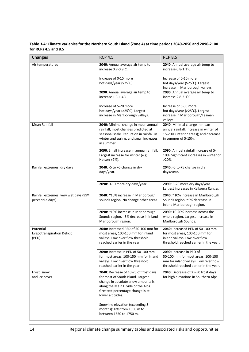**Table 3-4: Climate variables for the Northern South Island (Zone 4) at time periods 2040-2050 and 2090-2100 for RCPs 4.5 and 8.5**

| <b>Changes</b>                                             | <b>RCP 4.5</b>                                                                                                                                                                                                 | <b>RCP 8.5</b>                                                                                                                                   |
|------------------------------------------------------------|----------------------------------------------------------------------------------------------------------------------------------------------------------------------------------------------------------------|--------------------------------------------------------------------------------------------------------------------------------------------------|
| Air temperatures                                           | 2040: Annual average air temp to<br>increase 0.7-0.9°C.                                                                                                                                                        | 2040: Annual average air temp to<br>increase 0.8-1.1°C.                                                                                          |
|                                                            | Increase of 0-15 more<br>hot days/year (>25°C).                                                                                                                                                                | Increase of 0-10 more<br>hot days/year (>25°C). Largest<br>increase in Marlborough valleys.                                                      |
|                                                            | 2090: Annual average air temp to<br>increase 1.3-1.4°C.                                                                                                                                                        | 2090: Annual average air temp to<br>increase 2.8-3.1°C.                                                                                          |
|                                                            | Increase of 5-20 more<br>hot days/year (>25°C). Largest<br>increase in Marlborough valleys.                                                                                                                    | Increase of 5-35 more<br>hot days/year (>25°C). Largest<br>increase in Marlborough/Tasman<br>valleys.                                            |
| <b>Mean Rainfall</b>                                       | 2040: Minimal change in mean annual<br>rainfall; most changes predicted at<br>seasonal scale. Reduction in rainfall in<br>winter and spring, and small increases<br>in summer.                                 | 2040: Minimal change in mean<br>annual rainfall. Increase in winter of<br>15-20% (interior areas); and decrease<br>in summer of 5-15%.           |
|                                                            | 2090: Small increase in annual rainfall.<br>Largest increase for winter (e.g.,<br>Nelson +7%).                                                                                                                 | 2090: Annual rainfall increase of 5-<br>10%. Significant increases in winter of<br>$>20\%$ .                                                     |
| Rainfall extremes: dry days                                | 2040: - 5 to + 5 change in dry<br>days/year.                                                                                                                                                                   | 2040: -5 to +5 change in dry<br>days/year.                                                                                                       |
|                                                            | 2090: 0-10 more dry days/year.                                                                                                                                                                                 | 2090: 5-20 more dry days/year.<br>Largest increases in Kaikoura Ranges                                                                           |
| Rainfall extremes: very wet days (99th<br>percentile days) | 2040: ~10% increase in Marlborough<br>sounds region. No change other areas.                                                                                                                                    | 2040: ~10% increase in Marlborough<br>Sounds region. ~5% decrease in<br>inland Marlborough region.                                               |
|                                                            | 2090: ~10% increase in Marlborough<br>Sounds region. ~5% decrease in inland<br>Marlborough region.                                                                                                             | 2090: 10-20% increase across the<br>whole region. Largest increase in<br>Marlborough Sounds.                                                     |
| Potential<br><b>Evapotranspiration Deficit</b><br>(PED)    | 2040: Increased PED of 50-100 mm for<br>most areas, 100-150 mm for inland<br>valleys. Low river flow threshold<br>reached earlier in the year.                                                                 | 2040: Increased PED of 50-100 mm<br>for most areas, 100-150 mm for<br>inland valleys. Low river flow<br>threshold reached earlier in the year.   |
|                                                            | 2090: Increase in PED of 50-100 mm<br>for most areas, 100-150 mm for inland<br>valleys. Low river flow threshold<br>reached earlier in the year.                                                               | 2090: Increase in PED of<br>50-100 mm for most areas, 100-150<br>mm for inland valleys. Low river flow<br>threshold reached earlier in the year. |
| Frost, snow<br>and ice cover                               | 2040: Decrease of 10-25 of frost days<br>for most of South Island. Largest<br>change in absolute snow amounts is<br>along the Main Divide of the Alps.<br>Greatest percentage change is at<br>lower altitudes. | 2040: Decrease of 25-50 frost days<br>for high elevations in Southern Alps.                                                                      |
|                                                            | Snowline elevation (exceeding 3<br>months): lifts from 1550 m to<br>between 1550 to 1750 m.                                                                                                                    |                                                                                                                                                  |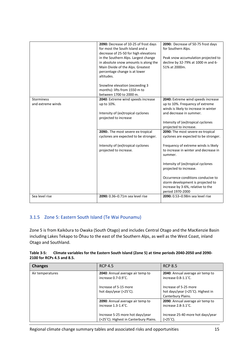|                                        | 2090: Decrease of 10-25 of frost days<br>for most the South Island and a<br>decrease of 25-50 for high elevations<br>in the Southern Alps. Largest change<br>in absolute snow amounts is along the<br>Main Divide of the Alps. Greatest<br>percentage change is at lower<br>altitudes. | 2090: Decrease of 50-75 frost days<br>for Southern Alps.<br>Peak snow accumulation projected to<br>decline by 32-79% at 1000 m and 6-<br>51% at 2000m. |
|----------------------------------------|----------------------------------------------------------------------------------------------------------------------------------------------------------------------------------------------------------------------------------------------------------------------------------------|--------------------------------------------------------------------------------------------------------------------------------------------------------|
|                                        | Snowline elevation (exceeding 3<br>months): lifts from 1550 m to<br>between 1700 to 2000 m.                                                                                                                                                                                            |                                                                                                                                                        |
| <b>Storminess</b><br>and extreme winds | 2040: Extreme wind speeds increase<br>up to 10%.                                                                                                                                                                                                                                       | 2040: Extreme wind speeds increase<br>up to 10%. Frequency of extreme<br>winds is likely to increase in winter                                         |
|                                        | Intensity of (ex)tropical cyclones<br>projected to increase                                                                                                                                                                                                                            | and decrease in summer.                                                                                                                                |
|                                        |                                                                                                                                                                                                                                                                                        | Intensity of (ex)tropical cyclones<br>projected to increase.                                                                                           |
|                                        | 2090: The most severe ex-tropical<br>cyclones are expected to be stronger.                                                                                                                                                                                                             | 2090: The most severe ex-tropical<br>cyclones are expected to be stronger.                                                                             |
|                                        | Intensity of (ex)tropical cyclones<br>projected to increase.                                                                                                                                                                                                                           | Frequency of extreme winds is likely<br>to increase in winter and decrease in<br>summer.                                                               |
|                                        |                                                                                                                                                                                                                                                                                        | Intensity of (ex)tropical cyclones<br>projected to increase.                                                                                           |
|                                        |                                                                                                                                                                                                                                                                                        | Occurrence conditions conducive to<br>storm development is projected to<br>increase by 3-6%, relative to the<br>period 1970-2000                       |
| Sea level rise                         | 2090: 0.36-0.71m sea level rise                                                                                                                                                                                                                                                        | 2090: 0.53-0.98m sea level rise                                                                                                                        |

#### 3.1.5 Zone 5: Eastern South Island (Te Wai Pounamu)

Zone 5 is from Kaikōura to Owaka (South Otago) and includes Central Otago and the MacKenzie Basin including Lakes Tekapo to Ōhau to the east of the Southern Alps, as well as the West Coast, inland Otago and Southland.

| Table $3-5$ : | Climate variables for the Eastern South Island (Zone 5) at time periods 2040-2050 and 2090- |
|---------------|---------------------------------------------------------------------------------------------|
|               | 2100 for RCPs 4.5 and 8.5.                                                                  |

| <b>Changes</b>   | <b>RCP 4.5</b>                                                             | <b>RCP 8.5</b>                                                                   |
|------------------|----------------------------------------------------------------------------|----------------------------------------------------------------------------------|
| Air temperatures | 2040: Annual average air temp to<br>increase 0.7-0.9°C.                    | 2040: Annual average air temp to<br>increase $0.8 - 1.1$ °C.                     |
|                  | Increase of 5-15 more<br>hot days/year (>25°C).                            | Increase of 5-25 more<br>hot days/year (>25°C). Highest in<br>Canterbury Plains. |
|                  | 2090: Annual average air temp to<br>increase $1.3 - 1.4$ °C.               | 2090: Annual average air temp to<br>increase 2.8-3.1°C.                          |
|                  | Increase 5-25 more hot days/year<br>(>25°C). Highest in Canterbury Plains. | Increase 25-40 more hot days/year<br>$( >25^{\circ}C).$                          |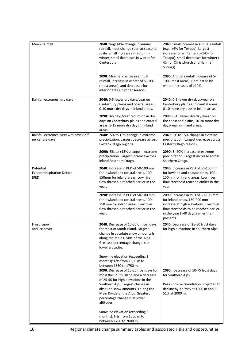| <b>Mean Rainfall</b>                                       | 2040: Negligible change in annual<br>rainfall, most change seen at seasonal<br>scale. Small increases in autumn-<br>winter; small decreases in winter for<br>Canterbury.                                                                                                                                                                                                           | 2040: Small increase in annual rainfall<br>(e.g., +6% for Tekapo). Largest<br>increase for winter (e.g.,+14% for<br>Tekapo); small decreases for winter (-<br>4% for Christchurch and Hanmer<br>Springs). |
|------------------------------------------------------------|------------------------------------------------------------------------------------------------------------------------------------------------------------------------------------------------------------------------------------------------------------------------------------------------------------------------------------------------------------------------------------|-----------------------------------------------------------------------------------------------------------------------------------------------------------------------------------------------------------|
|                                                            | 2090: Minimal change in annual<br>rainfall. Increase in winter of 5-10%<br>(most areas); and decreases for<br>interior areas in other seasons.                                                                                                                                                                                                                                     | 2090: Annual rainfall increase of 5-<br>10% (most areas). Dominated by<br>winter increases of >10%.                                                                                                       |
| Rainfall extremes: dry days                                | 2040: 0-5 fewer dry days/year on<br>Canterbury plains and coastal areas.<br>0-10 more dry days in inland areas.                                                                                                                                                                                                                                                                    | 2040: 0-5 fewer dry days/year on<br>Canterbury plains and coastal areas.<br>0-10 more dry days in inland areas.                                                                                           |
|                                                            | 2090: 0-5 days/year reduction in dry<br>days on Canterbury plains and coastal<br>areas. 5-15 more dry days in inland<br>areas.                                                                                                                                                                                                                                                     | 2090: 0-10 fewer dry days/year on<br>the coast and plains, 10-20 more dry<br>days/year in inland areas.                                                                                                   |
| Rainfall extremes: very wet days (99th<br>percentile days) | 2040: -5% to +5% change in extreme<br>precipitation. Largest decrease across<br>Eastern Otago regions.                                                                                                                                                                                                                                                                             | 2040: 5% to +5% change in extreme<br>precipitation. Largest decrease across<br>Eastern Otago regions.                                                                                                     |
|                                                            | 2090: -5% to +15% change in extreme<br>precipitation. Largest increase across<br>inland Southern Otago.                                                                                                                                                                                                                                                                            | 2090: 5 -20% increase in extreme<br>precipitation. Largest increase across<br>Southern Otago.                                                                                                             |
| Potential<br><b>Evapotranspiration Deficit</b><br>(PED)    | 2040: Increase in PED of 50-100mm<br>for lowland and coastal areas, 100-<br>150mm for inland areas. Low river<br>flow threshold reached earlier in the<br>year.                                                                                                                                                                                                                    | 2040: Increase in PED of 50-100mm<br>for lowland and coastal areas, 100-<br>150mm for inland areas. Low river<br>flow threshold reached earlier in the<br>year.                                           |
|                                                            | 2090: Increase in PED of 50-100 mm<br>for lowland and coastal areas, 100-<br>150 mm for inland areas. Low river<br>flow threshold reached earlier in the<br>year.                                                                                                                                                                                                                  | 2090: Increase in PED of 50-100 mm<br>for inland areas, 150-200 mm<br>increase at high elevations. Low river<br>flow thresholds to be reached earlier<br>in the year (>40 days earlier than<br>present).  |
| Frost, snow<br>and ice cover                               | 2040: Decrease of 10-25 of frost days<br>for most of South Island. Largest<br>change in absolute snow amounts is<br>along the Main Divide of the Alps.<br>Greatest percentage change is at<br>lower altitudes.<br>Snowline elevation (exceeding 3<br>months): lifts from 1550 m to<br>between 1550 to 1750 m.                                                                      | 2040: Decrease of 25-50 frost days<br>for high elevations in Southern Alps.                                                                                                                               |
|                                                            | 2090: Decrease of 10-25 frost days for<br>most the South Island and a decrease<br>of 25-50 for high elevations in the<br>Southern Alps. Largest change in<br>absolute snow amounts is along the<br>Main Divide of the Alps. Greatest<br>percentage change is at lower<br>altitudes.<br>Snowline elevation (exceeding 3<br>months): lifts from 1550 m to<br>between 1700 to 2000 m. | 2090: Decrease of 50-75 frost days<br>for Southern Alps.<br>Peak snow accumulation projected to<br>decline by 32-79% at 1000 m and 6-<br>51% at 2000 m.                                                   |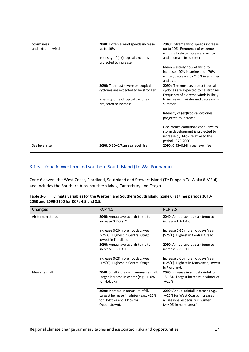| <b>Storminess</b> | 2040: Extreme wind speeds increase    | 2040: Extreme wind speeds increase    |
|-------------------|---------------------------------------|---------------------------------------|
| and extreme winds |                                       | up to 10%. Frequency of extreme       |
|                   | up to 10%.                            |                                       |
|                   |                                       | winds is likely to increase in winter |
|                   | Intensity of (ex)tropical cyclones    | and decrease in summer.               |
|                   | projected to increase                 |                                       |
|                   |                                       | Mean westerly flow of wind to         |
|                   |                                       | increase ~20% in spring and ~70% in   |
|                   |                                       | winter; decrease by ~20% in summer    |
|                   |                                       | and autumn.                           |
|                   | 2090: The most severe ex-tropical     | 2090: The most severe ex-tropical     |
|                   | cyclones are expected to be stronger. | cyclones are expected to be stronger. |
|                   |                                       | Frequency of extreme winds is likely  |
|                   | Intensity of (ex)tropical cyclones    | to increase in winter and decrease in |
|                   | projected to increase.                | summer.                               |
|                   |                                       |                                       |
|                   |                                       |                                       |
|                   |                                       | Intensity of (ex)tropical cyclones    |
|                   |                                       | projected to increase.                |
|                   |                                       |                                       |
|                   |                                       | Occurrence conditions conducive to    |
|                   |                                       | storm development is projected to     |
|                   |                                       | increase by 3-6%, relative to the     |
|                   |                                       | period 1970-2000.                     |
| Sea level rise    | 2090: 0.36-0.71m sea level rise       | 2090: 0.53-0.98m sea level rise       |
|                   |                                       |                                       |

#### 3.1.6 Zone 6: Western and southern South Island (Te Wai Pounamu)

Zone 6 covers the West Coast, Fiordland, Southland and Stewart Island (Te Punga o Te Waka ā Māui) and includes the Southern Alps, southern lakes, Canterbury and Otago.

| Table 3-6: | Climate variables for the Western and Southern South Island (Zone 6) at time periods 2040- |
|------------|--------------------------------------------------------------------------------------------|
|            | 2050 and 2090-2100 for RCPs 4.5 and 8.5.                                                   |

| <b>Changes</b>   | <b>RCP 4.5</b>                                                                                                            | <b>RCP 8.5</b>                                                                                                                              |
|------------------|---------------------------------------------------------------------------------------------------------------------------|---------------------------------------------------------------------------------------------------------------------------------------------|
| Air temperatures | 2040: Annual average air temp to<br>increase 0.7-0.9°C.                                                                   | 2040: Annual average air temp to<br>increase 1.3-1.4°C.                                                                                     |
|                  | Increase 0-20 more hot days/year<br>(>25°C). Highest in Central Otago;<br>lowest in Fiordland.                            | Increase 0-25 more hot days/year<br>(>25°C). Highest in Central Otago.                                                                      |
|                  | 2090: Annual average air temp to<br>increase 1.3-1.4°C.                                                                   | 2090: Annual average air temp to<br>increase $2.8 - 3.1$ °C.                                                                                |
|                  | Increase 0-28 more hot days/year<br>(>25°C). Highest in Central Otago.                                                    | Increase 0-50 more hot days/year<br>(>25°C). Highest in Mackenzie; lowest<br>in Fiordland.                                                  |
| Mean Rainfall    | 2040: Small increase in annual rainfall.<br>Larger increase in winter (e.g., +10%<br>for Hokitika).                       | 2040: Increase in annual rainfall of<br>+5-15%. Largest increase in winter of<br>$>+20\%$                                                   |
|                  | 2090: Increase in annual rainfall.<br>Largest increase in winter (e.g., +16%<br>for Hokitika and +19% for<br>Queenstown). | 2090: Annual rainfall increase (e.g.,<br>>+20% for West Coast). Increases in<br>all seasons, especially in winter<br>(>+40% in some areas). |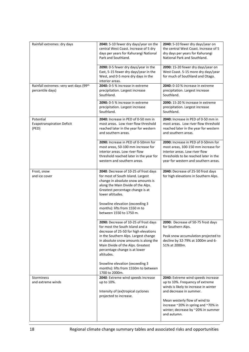| Rainfall extremes: dry days                                | 2040: 5-10 fewer dry days/year on the<br>central West Coast. Increase of 5 dry<br>days per years for Kahurangi National<br>Park and Southland.                                                                                                                                                                                                                                      | 2040: 5-10 fewer dry days/year on<br>the central West Coast. Increase of 5<br>dry days per years for Kahurangi<br>National Park and Southland.                                                                                                                         |
|------------------------------------------------------------|-------------------------------------------------------------------------------------------------------------------------------------------------------------------------------------------------------------------------------------------------------------------------------------------------------------------------------------------------------------------------------------|------------------------------------------------------------------------------------------------------------------------------------------------------------------------------------------------------------------------------------------------------------------------|
|                                                            | 2090: 0-5 fewer dry days/year in the<br>East, 5-15 fewer dry days/year in the<br>West, and 0-5 more dry days in the<br>interior areas.                                                                                                                                                                                                                                              | 2090: 15-20 fewer dry days/year on<br>West Coast. 5-15 more dry days/year<br>for much of Southland and Otago.                                                                                                                                                          |
| Rainfall extremes: very wet days (99th<br>percentile days) | 2040: 0-5 % increase in extreme<br>precipitation. Largest increase<br>Southland.                                                                                                                                                                                                                                                                                                    | 2040: 0-10 % increase in extreme<br>precipitation. Largest increase<br>Southland.                                                                                                                                                                                      |
|                                                            | 2090: 0-5 % increase in extreme<br>precipitation. Largest increase<br>Southland.                                                                                                                                                                                                                                                                                                    | <b>2090:</b> 15-20 % increase in extreme<br>precipitation. Largest increase<br>Southland.                                                                                                                                                                              |
| Potential<br><b>Evapotranspiration Deficit</b><br>(PED)    | 2040: Increase in PED of 0-50 mm in<br>most areas. Low river flow threshold<br>reached later in the year for western<br>and southern areas.                                                                                                                                                                                                                                         | 2040: Increase in PED of 0-50 mm in<br>most areas. Low river flow threshold<br>reached later in the year for western<br>and southern areas.                                                                                                                            |
|                                                            | 2090: Increase in PED of 0-50mm for<br>most areas, 50-100 mm increase for<br>interior areas. Low river flow<br>threshold reached later in the year for<br>western and southern areas.                                                                                                                                                                                               | 2090: Increase in PED of 0-50mm for<br>most areas, 100-150 mm increase for<br>interior areas. Low river flow<br>thresholds to be reached later in the<br>year for western and southern areas.                                                                          |
| Frost, snow<br>and ice cover                               | 2040: Decrease of 10-25 of frost days<br>for most of South Island. Largest<br>change in absolute snow amounts is<br>along the Main Divide of the Alps.<br>Greatest percentage change is at<br>lower altitudes.<br>Snowline elevation (exceeding 3<br>months): lifts from 1550 m to<br>between 1550 to 1750 m.                                                                       | 2040: Decrease of 25-50 frost days<br>for high elevations in Southern Alps.                                                                                                                                                                                            |
|                                                            | 2090: Decrease of 10-25 of frost days<br>for most the South Island and a<br>decrease of 25-50 for high elevations<br>in the Southern Alps. Largest change<br>in absolute snow amounts is along the<br>Main Divide of the Alps. Greatest<br>percentage change is at lower<br>altitudes.<br>Snowline elevation (exceeding 3<br>months): lifts from 1550m to between<br>1700 to 2000m. | 2090: Decrease of 50-75 frost days<br>for Southern Alps.<br>Peak snow accumulation projected to<br>decline by 32-79% at 1000m and 6-<br>51% at 2000m.                                                                                                                  |
| Storminess<br>and extreme winds                            | 2040: Extreme wind speeds increase<br>up to 10%.<br>Intensity of (ex)tropical cyclones<br>projected to increase.                                                                                                                                                                                                                                                                    | 2040: Extreme wind speeds increase<br>up to 10%. Frequency of extreme<br>winds is likely to increase in winter<br>and decrease in summer.<br>Mean westerly flow of wind to<br>increase ~20% in spring and ~70% in<br>winter; decrease by ~20% in summer<br>and autumn. |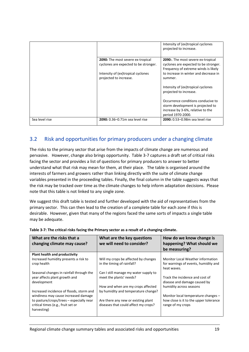|                |                                                                                   | Intensity of (ex)tropical cyclones<br>projected to increase.                                                                      |
|----------------|-----------------------------------------------------------------------------------|-----------------------------------------------------------------------------------------------------------------------------------|
|                | <b>2090:</b> The most severe ex-tropical<br>cyclones are expected to be stronger. | <b>2090:</b> The most severe ex-tropical<br>cyclones are expected to be stronger.<br>Frequency of extreme winds is likely         |
|                | Intensity of (ex)tropical cyclones<br>projected to increase.                      | to increase in winter and decrease in<br>summer.                                                                                  |
|                |                                                                                   | Intensity of (ex)tropical cyclones<br>projected to increase.                                                                      |
|                |                                                                                   | Occurrence conditions conducive to<br>storm development is projected to<br>increase by 3-6%, relative to the<br>period 1970-2000. |
| Sea level rise | 2090: 0.36-0.71m sea level rise                                                   | 2090: 0.53-0.98m sea level rise                                                                                                   |

## <span id="page-18-0"></span>3.2 Risk and opportunities for primary producers under a changing climate

The risks to the primary sector that arise from the impacts of climate change are numerous and pervasive. However, change also brings opportunity. Table 3-7 captures a draft set of critical risks facing the sector and provides a list of questions for primary producers to answer to better understand what that risk may mean for them, at their place. The table is organised around the interests of farmers and growers rather than linking directly with the suite of climate change variables presented in the proceeding tables. Finally, the final column in the table suggests ways that the risk may be tracked over time as the climate changes to help inform adaptation decisions. Please note that this table is not linked to any single zone.

We suggest this draft table is tested and further developed with the aid of representatives from the primary sector. This can then lead to the creation of a complete table for each zone if this is desirable. However, given that many of the regions faced the same sorts of impacts a single table may be adequate.

| What are the risks that a<br>changing climate may cause?                                      | What are the key questions<br>we will need to consider?                     | How do we know change is<br>happening? What should we<br>be measuring?                   |
|-----------------------------------------------------------------------------------------------|-----------------------------------------------------------------------------|------------------------------------------------------------------------------------------|
| Plant health and productivity                                                                 |                                                                             |                                                                                          |
| Increased humidity presents a risk to<br>crop health                                          | Will my crops be affected by changes<br>in the timing of rainfall?          | Monitor Local Weather information<br>for warnings of events, humidity and<br>heat waves. |
| Seasonal changes in rainfall through the                                                      | Can I still manage my water supply to                                       |                                                                                          |
| year affects plant growth and<br>development                                                  | meet the plants' needs?                                                     | Track the incidence and cost of<br>disease and damage caused by                          |
|                                                                                               | How and when are my crops affected                                          | humidity across seasons                                                                  |
| Increased incidence of floods, storm and                                                      | by humidity and temperature change?                                         |                                                                                          |
| windiness may cause increased damage                                                          |                                                                             | Monitor local temperature changes -                                                      |
| to pasture/crops/trees – especially near<br>critical times (e.g., fruit set or<br>harvesting) | Are there any new or existing plant<br>diseases that could affect my crops? | how close is it to the upper tolerance<br>range of my crops                              |

|  |  |  | Table 3-7: The critical risks facing the Primary sector as a result of a changing climate. |
|--|--|--|--------------------------------------------------------------------------------------------|
|--|--|--|--------------------------------------------------------------------------------------------|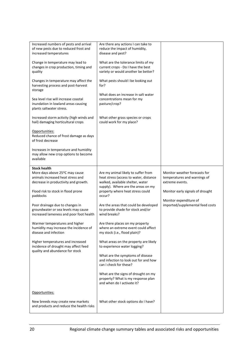| Increased numbers of pests and arrival<br>of new pests due to reduced frost and<br>increased temperatures                                                                             | Are there any actions I can take to<br>reduce the impact of humidity,<br>disease and pest?                                                                                                  |                                                                                                                      |
|---------------------------------------------------------------------------------------------------------------------------------------------------------------------------------------|---------------------------------------------------------------------------------------------------------------------------------------------------------------------------------------------|----------------------------------------------------------------------------------------------------------------------|
| Change in temperature may lead to<br>changes in crop production, timing and<br>quality                                                                                                | What are the tolerance limits of my<br>current crops - Do I have the best<br>variety or would another be better?                                                                            |                                                                                                                      |
| Changes in temperature may affect the<br>harvesting process and post-harvest<br>storage                                                                                               | What pests should I be looking out<br>for?                                                                                                                                                  |                                                                                                                      |
| Sea level rise will increase coastal<br>inundation in lowland areas causing<br>plants saltwater stress.                                                                               | What does an increase in salt water<br>concentrations mean for my<br>pasture/crop?                                                                                                          |                                                                                                                      |
| Increased storm activity (high winds and<br>hail) damaging horticultural crops                                                                                                        | What other grass species or crops<br>could work for my place?                                                                                                                               |                                                                                                                      |
| Opportunities:<br>Reduced chance of frost damage as days<br>of frost decrease                                                                                                         |                                                                                                                                                                                             |                                                                                                                      |
| Increases in temperature and humidity<br>may allow new crop options to become<br>available                                                                                            |                                                                                                                                                                                             |                                                                                                                      |
| <b>Stock health</b><br>More days above 25 <sup>o</sup> C may cause<br>animals increased heat stress and<br>decrease in productivity and growth.<br>Flood risk to stock in flood prone | Are my animal likely to suffer from<br>heat stress (access to water, distance<br>walked, available shelter, water<br>supply). Where are the areas on my<br>property where heat stress could | Monitor weather forecasts for<br>temperatures and warnings of<br>extreme events.<br>Monitor early signals of drought |
| paddocks<br>Poor drainage due to changes in<br>groundwater or sea levels may cause<br>increased lameness and poor foot health                                                         | occur?<br>Are the areas that could be developed<br>to provide shade for stock and/or<br>wind breaks?                                                                                        | Monitor expenditure of<br>imported/supplemental feed costs                                                           |
| Warmer temperatures and higher<br>humidity may increase the incidence of<br>disease and infection                                                                                     | Are there places on my property<br>where an extreme event could affect<br>my stock (i.e., flood plain)?                                                                                     |                                                                                                                      |
| Higher temperatures and increased<br>incidence of drought may affect feed<br>quality and abundance for stock                                                                          | What areas on the property are likely<br>to experience water logging?                                                                                                                       |                                                                                                                      |
|                                                                                                                                                                                       | What are the symptoms of disease<br>and infection to look out for and how<br>can I check for these?                                                                                         |                                                                                                                      |
|                                                                                                                                                                                       | What are the signs of drought on my<br>property? What is my response plan<br>and when do I activate it?                                                                                     |                                                                                                                      |
| Opportunities:                                                                                                                                                                        |                                                                                                                                                                                             |                                                                                                                      |
| New breeds may create new markets<br>and products and reduce the health risks                                                                                                         | What other stock options do I have?                                                                                                                                                         |                                                                                                                      |
|                                                                                                                                                                                       |                                                                                                                                                                                             |                                                                                                                      |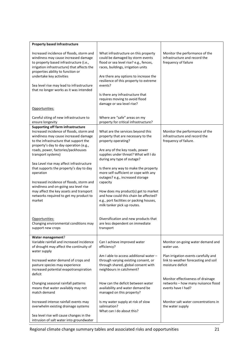| <b>Property based Infrastructure</b>                                                                                                                                                                                                                                                                                                                                                                                                                                                                                                                                  |                                                                                                                                                                                                                                                                                                                                                                                                                                                                                                        |                                                                                                  |
|-----------------------------------------------------------------------------------------------------------------------------------------------------------------------------------------------------------------------------------------------------------------------------------------------------------------------------------------------------------------------------------------------------------------------------------------------------------------------------------------------------------------------------------------------------------------------|--------------------------------------------------------------------------------------------------------------------------------------------------------------------------------------------------------------------------------------------------------------------------------------------------------------------------------------------------------------------------------------------------------------------------------------------------------------------------------------------------------|--------------------------------------------------------------------------------------------------|
| Increased incidence of floods, storm and<br>windiness may cause increased damage<br>to property based infrastructure (i.e.,<br>irrigation infrastructure) that affects the<br>properties ability to function or<br>undertake key activities<br>Sea level rise may lead to infrastructure<br>that no longer works as it was intended<br>Opportunities:<br>Careful siting of new infrastructure to                                                                                                                                                                      | What infrastructure on this property<br>could be damaged by storm events<br>flood or sea level rise? e.g., fences,<br>races, buildings, irrigation units<br>Are there any options to increase the<br>resilience of this property to extreme<br>events?<br>Is there any infrastructure that<br>requires moving to avoid flood<br>damage or sea level rise?<br>Where are "safe" areas on my                                                                                                              | Monitor the performance of the<br>infrastructure and record the<br>frequency of failure          |
| ensure longevity                                                                                                                                                                                                                                                                                                                                                                                                                                                                                                                                                      | property for critical infrastructure?                                                                                                                                                                                                                                                                                                                                                                                                                                                                  |                                                                                                  |
| <b>Supporting off farm infrastructure</b><br>Increased incidence of floods, storm and<br>windiness may cause increased damage<br>to the infrastructure that support the<br>property's day to day operation (e.g.,<br>roads, power, factories/packhouses<br>transport systems)<br>Sea Level rise may affect infrastructure<br>that supports the property's day to day<br>operation<br>Increased incidence of floods, storm and<br>windiness and on-going sea level rise<br>may affect the key assets and transport<br>networks required to get my product to<br>market | What are the services beyond this<br>property that are necessary to the<br>property operating?<br>Are any of the key roads, power<br>supplies under threat? What will I do<br>during any type of outage?<br>Is there any way to make the property<br>more self-sufficient or cope with any<br>outages? e.g., increased storage<br>capacity<br>How does my product(s) get to market<br>and how could this chain be affected?<br>e.g., port facilities or packing houses,<br>milk tanker pick up routes. | Monitor the performance of the<br>infrastructure and record the<br>frequency of failure.         |
| Opportunities:<br>Changing environmental conditions may<br>support new crops                                                                                                                                                                                                                                                                                                                                                                                                                                                                                          | Diversification and new products that<br>are less dependent on immediate<br>transport                                                                                                                                                                                                                                                                                                                                                                                                                  |                                                                                                  |
| Water management?<br>Variable rainfall and increased incidence<br>of drought may affect the continuity of<br>water supply                                                                                                                                                                                                                                                                                                                                                                                                                                             | Can I achieve improved water<br>efficiency?                                                                                                                                                                                                                                                                                                                                                                                                                                                            | Monitor on-going water demand and<br>water use.                                                  |
| Increased water demand of crops and<br>pasture species may experience<br>increased potential evapotranspiration<br>deficit                                                                                                                                                                                                                                                                                                                                                                                                                                            | Am I able to access additional water -<br>through varying existing consent, or<br>through shared, global consent with<br>neighbours in catchment?                                                                                                                                                                                                                                                                                                                                                      | Plan irrigation events carefully and<br>link to weather forecasting and soil<br>moisture deficit |
| Changing seasonal rainfall patterns<br>means that water availably may not<br>match demand                                                                                                                                                                                                                                                                                                                                                                                                                                                                             | How can the deficit between water<br>availability and water demand be<br>managed on this property?                                                                                                                                                                                                                                                                                                                                                                                                     | Monitor effectiveness of drainage<br>networks - how many nuisance flood<br>events have I had?    |
| Increased intense rainfall events may<br>overwhelm existing drainage systems                                                                                                                                                                                                                                                                                                                                                                                                                                                                                          | Is my water supply at risk of slow<br>salinisation?<br>What can I do about this?                                                                                                                                                                                                                                                                                                                                                                                                                       | Monitor salt water concentrations in<br>the water supply                                         |
| Sea level rise will cause changes in the<br>intrusion of salt water into groundwater                                                                                                                                                                                                                                                                                                                                                                                                                                                                                  |                                                                                                                                                                                                                                                                                                                                                                                                                                                                                                        |                                                                                                  |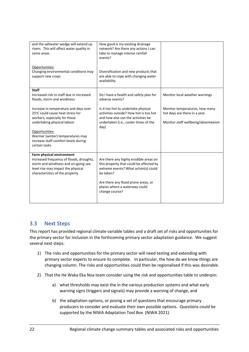| and the saltwater wedge will extend up<br>rivers. This will affect water quality in<br>some areas                                                                                                                                                        | How good is my existing drainage<br>network? Are there any actions I can<br>take to manage intense rainfall<br>events?                                                                                                           |                                                                                                        |
|----------------------------------------------------------------------------------------------------------------------------------------------------------------------------------------------------------------------------------------------------------|----------------------------------------------------------------------------------------------------------------------------------------------------------------------------------------------------------------------------------|--------------------------------------------------------------------------------------------------------|
| Opportunities:<br>Changing environmental conditions may<br>support new crops                                                                                                                                                                             | Diversification and new products that<br>are able to cope with changing water<br>availability                                                                                                                                    |                                                                                                        |
| <b>Staff</b><br>Increased risk to staff due in increased<br>floods, storm and windiness                                                                                                                                                                  | Do I have a health and safety plan for<br>adverse events?                                                                                                                                                                        | Monitor local weather warnings                                                                         |
| Increase in temperature and days over<br>25°C could cause heat stress for<br>workers, especially for those<br>undertaking physical labour<br>Opportunities:<br>Warmer (winter) temperatures may<br>increase staff comfort levels during<br>certain tasks | Is it too hot to undertake physical<br>activities outside? How hot is too hot<br>and how else can the activities be<br>undertaken (i.e., cooler times of the<br>day)                                                             | Monitor temperatures, how many<br>hot days are there in a year.<br>Monitor staff wellbeing/absenteeism |
| Farm physical environment<br>Increased frequency of floods, droughts,<br>storm and windiness and on-going sea<br>level rise may impact the physical<br>characteristics of the property                                                                   | Are there any highly erodible areas on<br>this property that could be affected by<br>extreme events? What action(s) could<br>be taken?<br>Are there any flood prone areas, or<br>places where a waterway could<br>change course? |                                                                                                        |

### <span id="page-21-0"></span>3.3 Next Steps

This report has provided regional climate variable tables and a draft set of risks and opportunities for the primary sector for inclusion in the forthcoming primary sector adaptation guidance. We suggest several next steps:

- 1) The risks and opportunities for the primary sector will need testing and extending with primary sector experts to ensure its complete. In particular, the how do we know things are changing column. The risks and opportunities could then be regionalised if this was desirable.
- 2) That the He Waka Eka Noa team consider using the risk and opportunities table to underpin:
	- a) what thresholds may exist the in the various production systems and what early warning signs (triggers and signals) may provide a warning of change, and
	- b) the adaptation options, or posing a set of questions that encourage primary producers to consider and evaluate their own possible options. Questions could be supported by the NIWA Adaptation Tool Box (NIWA 2021).